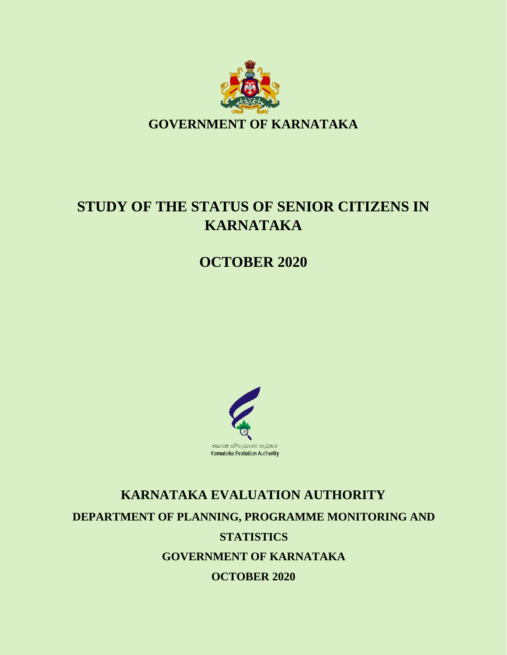

# **STUDY OF THE STATUS OF SENIOR CITIZENS IN KARNATAKA**

**OCTOBER 2020**



# **KARNATAKA EVALUATION AUTHORITY DEPARTMENT OF PLANNING, PROGRAMME MONITORING AND STATISTICS GOVERNMENT OF KARNATAKA OCTOBER 2020**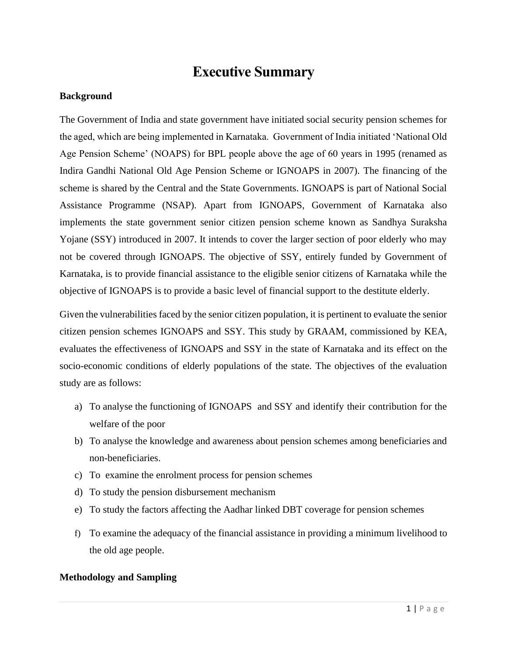# **Executive Summary**

### **Background**

The Government of India and state government have initiated social security pension schemes for the aged, which are being implemented in Karnataka. Government of India initiated 'National Old Age Pension Scheme' (NOAPS) for BPL people above the age of 60 years in 1995 (renamed as Indira Gandhi National Old Age Pension Scheme or IGNOAPS in 2007). The financing of the scheme is shared by the Central and the State Governments. IGNOAPS is part of National Social Assistance Programme (NSAP). Apart from IGNOAPS, Government of Karnataka also implements the state government senior citizen pension scheme known as Sandhya Suraksha Yojane (SSY) introduced in 2007. It intends to cover the larger section of poor elderly who may not be covered through IGNOAPS. The objective of SSY, entirely funded by Government of Karnataka, is to provide financial assistance to the eligible senior citizens of Karnataka while the objective of IGNOAPS is to provide a basic level of financial support to the destitute elderly.

Given the vulnerabilities faced by the senior citizen population, it is pertinent to evaluate the senior citizen pension schemes IGNOAPS and SSY. This study by GRAAM, commissioned by KEA, evaluates the effectiveness of IGNOAPS and SSY in the state of Karnataka and its effect on the socio-economic conditions of elderly populations of the state*.* The objectives of the evaluation study are as follows:

- a) To analyse the functioning of IGNOAPS and SSY and identify their contribution for the welfare of the poor
- b) To analyse the knowledge and awareness about pension schemes among beneficiaries and non-beneficiaries.
- c) To examine the enrolment process for pension schemes
- d) To study the pension disbursement mechanism
- e) To study the factors affecting the Aadhar linked DBT coverage for pension schemes
- f) To examine the adequacy of the financial assistance in providing a minimum livelihood to the old age people.

#### **Methodology and Sampling**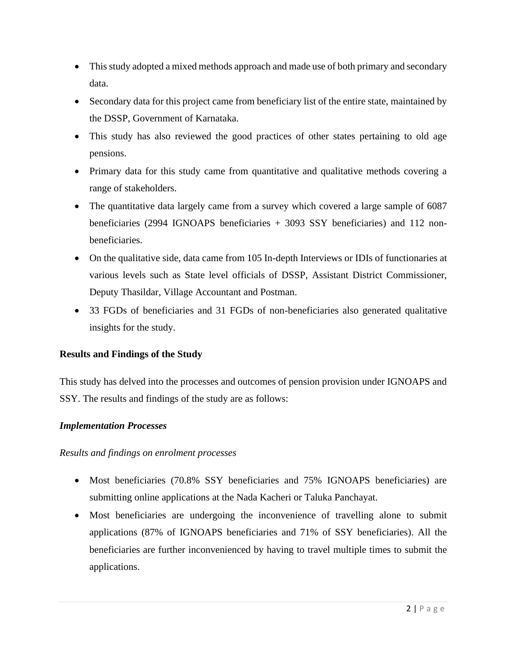- This study adopted a mixed methods approach and made use of both primary and secondary data.
- Secondary data for this project came from beneficiary list of the entire state, maintained by the DSSP, Government of Karnataka.
- This study has also reviewed the good practices of other states pertaining to old age pensions.
- Primary data for this study came from quantitative and qualitative methods covering a range of stakeholders.
- The quantitative data largely came from a survey which covered a large sample of 6087 beneficiaries (2994 IGNOAPS beneficiaries + 3093 SSY beneficiaries) and 112 nonbeneficiaries.
- On the qualitative side, data came from 105 In-depth Interviews or IDIs of functionaries at various levels such as State level officials of DSSP, Assistant District Commissioner, Deputy Thasildar, Village Accountant and Postman.
- 33 FGDs of beneficiaries and 31 FGDs of non-beneficiaries also generated qualitative insights for the study.

# **Results and Findings of the Study**

This study has delved into the processes and outcomes of pension provision under IGNOAPS and SSY. The results and findings of the study are as follows:

# *Implementation Processes*

#### *Results and findings on enrolment processes*

- Most beneficiaries (70.8% SSY beneficiaries and 75% IGNOAPS beneficiaries) are submitting online applications at the Nada Kacheri or Taluka Panchayat.
- Most beneficiaries are undergoing the inconvenience of travelling alone to submit applications (87% of IGNOAPS beneficiaries and 71% of SSY beneficiaries). All the beneficiaries are further inconvenienced by having to travel multiple times to submit the applications.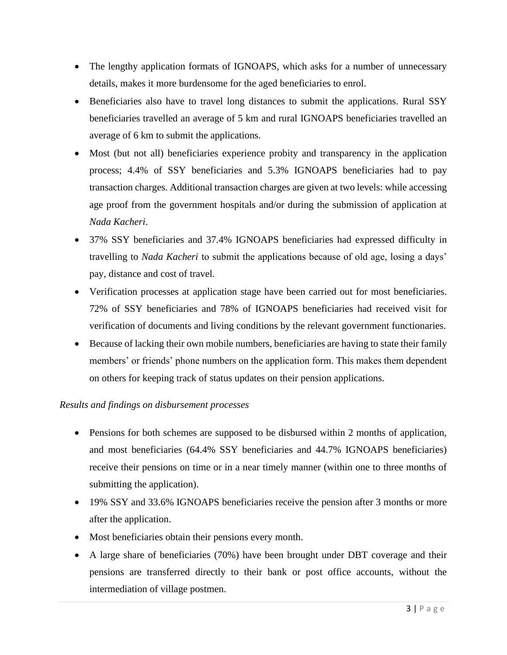- The lengthy application formats of IGNOAPS, which asks for a number of unnecessary details, makes it more burdensome for the aged beneficiaries to enrol.
- Beneficiaries also have to travel long distances to submit the applications. Rural SSY beneficiaries travelled an average of 5 km and rural IGNOAPS beneficiaries travelled an average of 6 km to submit the applications.
- Most (but not all) beneficiaries experience probity and transparency in the application process; 4.4% of SSY beneficiaries and 5.3% IGNOAPS beneficiaries had to pay transaction charges. Additional transaction charges are given at two levels: while accessing age proof from the government hospitals and/or during the submission of application at *Nada Kacheri*.
- 37% SSY beneficiaries and 37.4% IGNOAPS beneficiaries had expressed difficulty in travelling to *Nada Kacheri* to submit the applications because of old age, losing a days' pay, distance and cost of travel.
- Verification processes at application stage have been carried out for most beneficiaries. 72% of SSY beneficiaries and 78% of IGNOAPS beneficiaries had received visit for verification of documents and living conditions by the relevant government functionaries.
- Because of lacking their own mobile numbers, beneficiaries are having to state their family members' or friends' phone numbers on the application form. This makes them dependent on others for keeping track of status updates on their pension applications.

# *Results and findings on disbursement processes*

- Pensions for both schemes are supposed to be disbursed within 2 months of application, and most beneficiaries (64.4% SSY beneficiaries and 44.7% IGNOAPS beneficiaries) receive their pensions on time or in a near timely manner (within one to three months of submitting the application).
- 19% SSY and 33.6% IGNOAPS beneficiaries receive the pension after 3 months or more after the application.
- Most beneficiaries obtain their pensions every month.
- A large share of beneficiaries (70%) have been brought under DBT coverage and their pensions are transferred directly to their bank or post office accounts, without the intermediation of village postmen.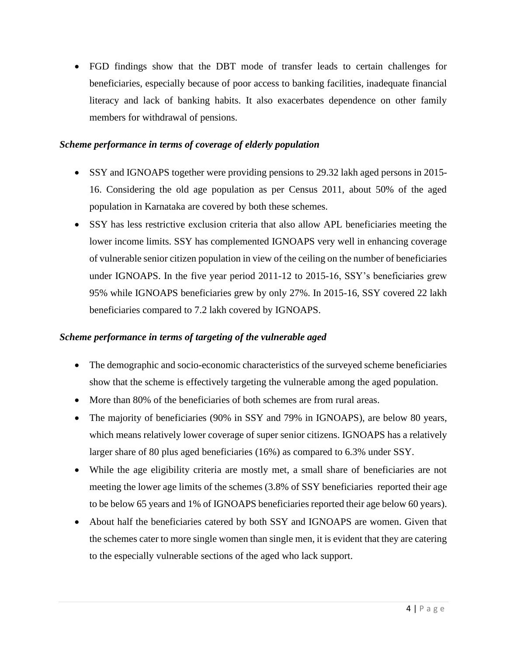• FGD findings show that the DBT mode of transfer leads to certain challenges for beneficiaries, especially because of poor access to banking facilities, inadequate financial literacy and lack of banking habits. It also exacerbates dependence on other family members for withdrawal of pensions.

### *Scheme performance in terms of coverage of elderly population*

- SSY and IGNOAPS together were providing pensions to 29.32 lakh aged persons in 2015-16. Considering the old age population as per Census 2011, about 50% of the aged population in Karnataka are covered by both these schemes.
- SSY has less restrictive exclusion criteria that also allow APL beneficiaries meeting the lower income limits. SSY has complemented IGNOAPS very well in enhancing coverage of vulnerable senior citizen population in view of the ceiling on the number of beneficiaries under IGNOAPS. In the five year period 2011-12 to 2015-16, SSY's beneficiaries grew 95% while IGNOAPS beneficiaries grew by only 27%. In 2015-16, SSY covered 22 lakh beneficiaries compared to 7.2 lakh covered by IGNOAPS.

# *Scheme performance in terms of targeting of the vulnerable aged*

- The demographic and socio-economic characteristics of the surveyed scheme beneficiaries show that the scheme is effectively targeting the vulnerable among the aged population.
- More than 80% of the beneficiaries of both schemes are from rural areas.
- The majority of beneficiaries (90% in SSY and 79% in IGNOAPS), are below 80 years, which means relatively lower coverage of super senior citizens. IGNOAPS has a relatively larger share of 80 plus aged beneficiaries (16%) as compared to 6.3% under SSY.
- While the age eligibility criteria are mostly met, a small share of beneficiaries are not meeting the lower age limits of the schemes (3.8% of SSY beneficiaries reported their age to be below 65 years and 1% of IGNOAPS beneficiaries reported their age below 60 years).
- About half the beneficiaries catered by both SSY and IGNOAPS are women. Given that the schemes cater to more single women than single men, it is evident that they are catering to the especially vulnerable sections of the aged who lack support.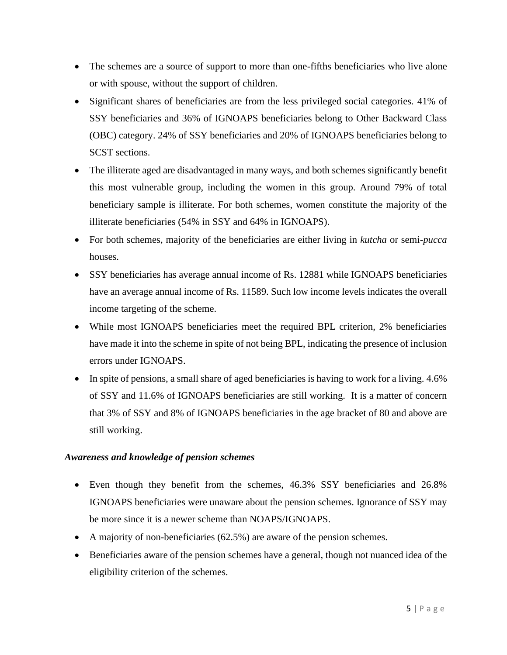- The schemes are a source of support to more than one-fifths beneficiaries who live alone or with spouse, without the support of children.
- Significant shares of beneficiaries are from the less privileged social categories. 41% of SSY beneficiaries and 36% of IGNOAPS beneficiaries belong to Other Backward Class (OBC) category. 24% of SSY beneficiaries and 20% of IGNOAPS beneficiaries belong to SCST sections.
- The illiterate aged are disadvantaged in many ways, and both schemes significantly benefit this most vulnerable group, including the women in this group. Around 79% of total beneficiary sample is illiterate. For both schemes, women constitute the majority of the illiterate beneficiaries (54% in SSY and 64% in IGNOAPS).
- For both schemes, majority of the beneficiaries are either living in *kutcha* or semi-*pucca* houses.
- SSY beneficiaries has average annual income of Rs. 12881 while IGNOAPS beneficiaries have an average annual income of Rs. 11589. Such low income levels indicates the overall income targeting of the scheme.
- While most IGNOAPS beneficiaries meet the required BPL criterion, 2% beneficiaries have made it into the scheme in spite of not being BPL, indicating the presence of inclusion errors under IGNOAPS.
- In spite of pensions, a small share of aged beneficiaries is having to work for a living. 4.6% of SSY and 11.6% of IGNOAPS beneficiaries are still working. It is a matter of concern that 3% of SSY and 8% of IGNOAPS beneficiaries in the age bracket of 80 and above are still working.

# *Awareness and knowledge of pension schemes*

- Even though they benefit from the schemes, 46.3% SSY beneficiaries and 26.8% IGNOAPS beneficiaries were unaware about the pension schemes. Ignorance of SSY may be more since it is a newer scheme than NOAPS/IGNOAPS.
- A majority of non-beneficiaries (62.5%) are aware of the pension schemes.
- Beneficiaries aware of the pension schemes have a general, though not nuanced idea of the eligibility criterion of the schemes.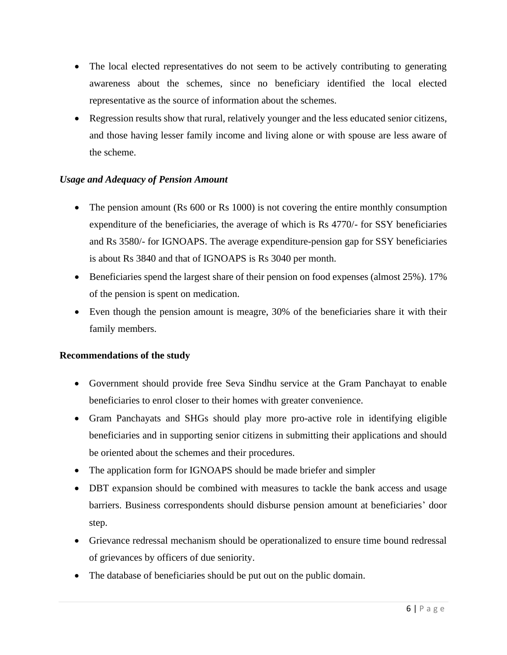- The local elected representatives do not seem to be actively contributing to generating awareness about the schemes, since no beneficiary identified the local elected representative as the source of information about the schemes.
- Regression results show that rural, relatively younger and the less educated senior citizens, and those having lesser family income and living alone or with spouse are less aware of the scheme.

# *Usage and Adequacy of Pension Amount*

- The pension amount (Rs 600 or Rs 1000) is not covering the entire monthly consumption expenditure of the beneficiaries, the average of which is Rs 4770/- for SSY beneficiaries and Rs 3580/- for IGNOAPS. The average expenditure-pension gap for SSY beneficiaries is about Rs 3840 and that of IGNOAPS is Rs 3040 per month.
- Beneficiaries spend the largest share of their pension on food expenses (almost 25%). 17% of the pension is spent on medication.
- Even though the pension amount is meagre, 30% of the beneficiaries share it with their family members.

# **Recommendations of the study**

- Government should provide free Seva Sindhu service at the Gram Panchayat to enable beneficiaries to enrol closer to their homes with greater convenience.
- Gram Panchayats and SHGs should play more pro-active role in identifying eligible beneficiaries and in supporting senior citizens in submitting their applications and should be oriented about the schemes and their procedures.
- The application form for IGNOAPS should be made briefer and simpler
- DBT expansion should be combined with measures to tackle the bank access and usage barriers. Business correspondents should disburse pension amount at beneficiaries' door step.
- Grievance redressal mechanism should be operationalized to ensure time bound redressal of grievances by officers of due seniority.
- The database of beneficiaries should be put out on the public domain.